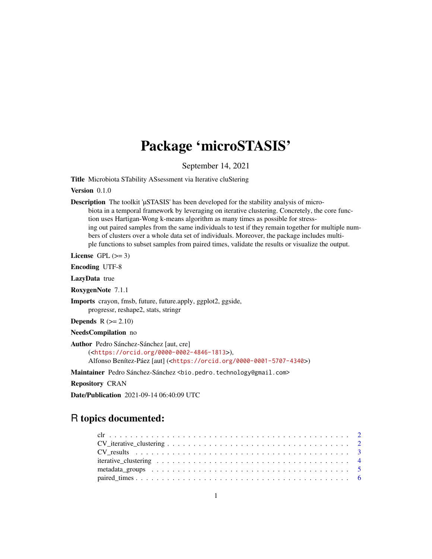## Package 'microSTASIS'

September 14, 2021

<span id="page-0-0"></span>Title Microbiota STability ASsessment via Iterative cluStering

Version 0.1.0

Description The toolkit 'µSTASIS' has been developed for the stability analysis of microbiota in a temporal framework by leveraging on iterative clustering. Concretely, the core function uses Hartigan-Wong k-means algorithm as many times as possible for stressing out paired samples from the same individuals to test if they remain together for multiple numbers of clusters over a whole data set of individuals. Moreover, the package includes multiple functions to subset samples from paired times, validate the results or visualize the output.

License GPL  $(>= 3)$ 

Encoding UTF-8

LazyData true

RoxygenNote 7.1.1

Imports crayon, fmsb, future, future.apply, ggplot2, ggside, progressr, reshape2, stats, stringr

**Depends**  $R$  ( $>= 2.10$ )

NeedsCompilation no

```
Author Pedro Sánchez-Sánchez [aut, cre]
     (<https://orcid.org/0000-0002-4846-1813>),
     Alfonso Benítez-Páez [aut] (<https://orcid.org/0000-0001-5707-4340>)
```
Maintainer Pedro Sánchez-Sánchez <bio.pedro.technology@gmail.com>

Repository CRAN

Date/Publication 2021-09-14 06:40:09 UTC

### R topics documented: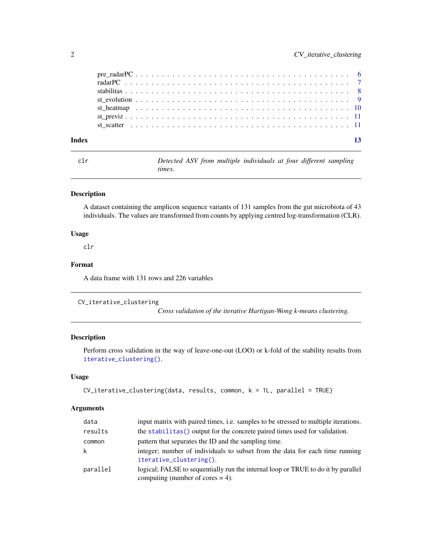| Index | 13 |  |
|-------|----|--|
|       |    |  |
|       |    |  |
|       |    |  |
|       |    |  |
|       |    |  |
|       |    |  |
|       |    |  |

clr *Detected ASV from multiple individuals at four different sampling times.*

#### Description

A dataset containing the amplicon sequence variants of 131 samples from the gut microbiota of 43 individuals. The values are transformed from counts by applying centred log-transformation (CLR).

#### Usage

clr

#### Format

A data frame with 131 rows and 226 variables

```
CV_iterative_clustering
```
*Cross validation of the iterative Hartigan-Wong k-means clustering.*

#### Description

Perform cross validation in the way of leave-one-out (LOO) or k-fold of the stability results from [iterative\\_clustering\(\)](#page-3-1).

#### Usage

```
CV_iterative_clustering(data, results, common, k = 1L, parallel = TRUE)
```
#### Arguments

| data     | input matrix with paired times, i.e. samples to be stressed to multiple iterations.                                     |
|----------|-------------------------------------------------------------------------------------------------------------------------|
| results  | the stabilitimes () output for the concrete paired times used for validation.                                           |
| common   | pattern that separates the ID and the sampling time.                                                                    |
| k        | integer; number of individuals to subset from the data for each time running<br>iterative_clustering().                 |
| parallel | logical; FALSE to sequentially run the internal loop or TRUE to do it by parallel<br>computing (number of cores $=$ 4). |

<span id="page-1-0"></span>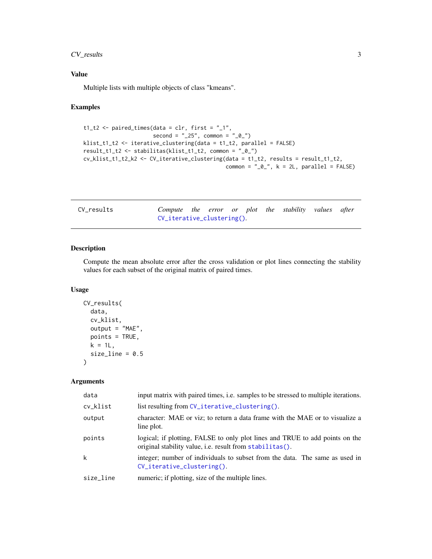#### <span id="page-2-0"></span>CV\_results 3

#### Value

Multiple lists with multiple objects of class "kmeans".

#### Examples

```
t1_t2 \leftarrow paired_times(data = clr, first = "_1",
                      second = "25", common = "0."klist_t1_t2 <- iterative_clustering(data = t1_t2, parallel = FALSE)
result_t1_t2 <- stabilitas(klist_t1_t2, common = "_0_")
cv_klist_t1_t2_k2 \leftarrow cv_iiterative_clustering(data = t1_t2, results = result_t1_t2,common = "_0, k = 2L, parallel = FALSE)
```

| CV_results | Compute the error or plot the stability values after |  |  |  |  |
|------------|------------------------------------------------------|--|--|--|--|
|            | CV_iterative_clustering()                            |  |  |  |  |

#### Description

Compute the mean absolute error after the cross validation or plot lines connecting the stability values for each subset of the original matrix of paired times.

#### Usage

```
CV_results(
  data,
  cv_klist,
  output = "MAE",
  points = TRUE,
  k = 1L,
  size<sub>1</sub>ine = 0.5)
```
#### Arguments

| data      | input matrix with paired times, i.e. samples to be stressed to multiple iterations.                                                      |
|-----------|------------------------------------------------------------------------------------------------------------------------------------------|
| cv_klist  | list resulting from CV_iterative_clustering().                                                                                           |
| output    | character: MAE or viz; to return a data frame with the MAE or to visualize a<br>line plot.                                               |
| points    | logical; if plotting, FALSE to only plot lines and TRUE to add points on the<br>original stability value, i.e. result from stabilitas(). |
| k         | integer; number of individuals to subset from the data. The same as used in<br>$CV_i$ terative_clustering().                             |
| size_line | numeric; if plotting, size of the multiple lines.                                                                                        |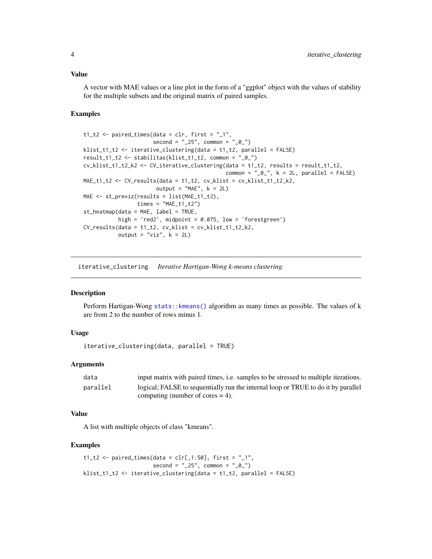<span id="page-3-0"></span>A vector with MAE values or a line plot in the form of a "ggplot" object with the values of stability for the multiple subsets and the original matrix of paired samples.

#### Examples

```
t1_t2 \leq paired_times(data = clr, first = "_1",
                      second = "25", common = "0"klist_t1_t2 <- iterative_clustering(data = t1_t2, parallel = FALSE)
result_t1_t2 <- stabilitas(klist_t1_t2, common = "_0_")
cv_klist_t1_t2_k2 \leftarrow cv_iiterative_clustering(data = t1_t2, results = result_t1_t2,common = "_0", k = 2L, parallel = FALSE)
MAE_t1_t2 \leftarrow CV_results(data = t1_t2, cv_klist = cv_klist_t1_t2_k2,output = MAE'', k = 2LMAE <- st_previz(results = list(MAE_t1_t2),
                 times = "MAE_t1_t2")st_heatmap(data = MAE, label = TRUE,
           high = 'red2', midpoint = 0.075, low = 'forestgreen')CV_results(data = t1_t2, cv_klist = cv_klist_t1_t2_k2,
           output = "viz", k = 2L)
```
<span id="page-3-1"></span>iterative\_clustering *Iterative Hartigan-Wong k-means clustering.*

#### Description

Perform Hartigan-Wong [stats::kmeans\(\)](#page-0-0) algorithm as many times as possible. The values of k are from 2 to the number of rows minus 1.

#### Usage

iterative\_clustering(data, parallel = TRUE)

#### Arguments

| data     | input matrix with paired times, i.e. samples to be stressed to multiple iterations. |
|----------|-------------------------------------------------------------------------------------|
| parallel | logical; FALSE to sequentially run the internal loop or TRUE to do it by parallel   |
|          | computing (number of cores $=$ 4).                                                  |

#### Value

A list with multiple objects of class "kmeans".

```
t1_t2 \leq paired_times(data = clr[,1:50], first = "_1",
                     second = "25", common = "0."klist_t1_t2 <- iterative_clustering(data = t1_t2, parallel = FALSE)
```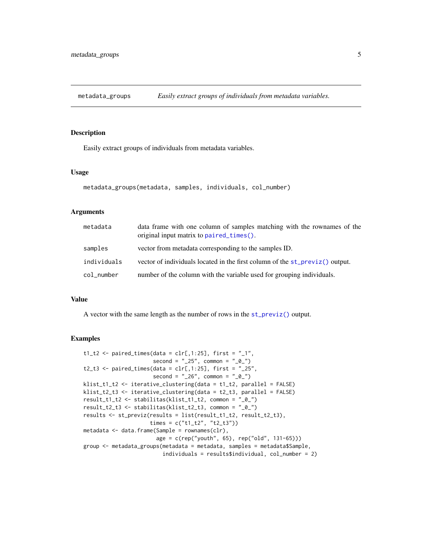<span id="page-4-0"></span>metadata\_groups *Easily extract groups of individuals from metadata variables.*

#### Description

Easily extract groups of individuals from metadata variables.

#### Usage

```
metadata_groups(metadata, samples, individuals, col_number)
```
#### Arguments

| metadata    | data frame with one column of samples matching with the rownames of the<br>original input matrix to paired_times(). |
|-------------|---------------------------------------------------------------------------------------------------------------------|
| samples     | vector from metadata corresponding to the samples ID.                                                               |
| individuals | vector of individuals located in the first column of the st_previz() output.                                        |
| col_number  | number of the column with the variable used for grouping individuals.                                               |

#### Value

A vector with the same length as the number of rows in the [st\\_previz\(\)](#page-10-1) output.

```
t1_t2 \leftarrow paired_times(data = clr[,1:25], first = "_1",
                     second = "25", common = "0"t2_t3 <- paired_times(data = clr[,1:25], first = "_25",
                     second = "26", common = "0"klist_t1_t2 <- iterative_clustering(data = t1_t2, parallel = FALSE)
klist_t2_t3 <- iterative_clustering(data = t2_t3, parallel = FALSE)
result_t1_t2 <- stabilitas(klist_t1_t2, common = "_0_")
result_t2_t3 <- stabilitas(klist_t2_t3, common = "_0_")
results <- st_previz(results = list(result_t1_t2, result_t2_t3),
                     times = c("t1_t2", "t2_t3"))
metadata <- data.frame(Sample = rownames(clr),
                      age = c(rep("youth", 65), rep("old", 131-65)))
group <- metadata_groups(metadata = metadata, samples = metadata$Sample,
                         individuals = results$individual, col_number = 2)
```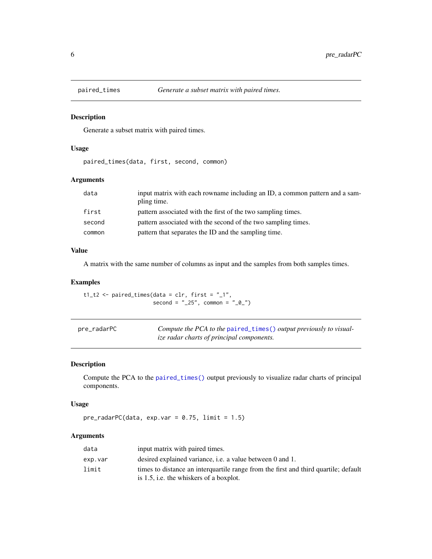<span id="page-5-1"></span><span id="page-5-0"></span>

Generate a subset matrix with paired times.

#### Usage

paired\_times(data, first, second, common)

#### Arguments

| data   | input matrix with each rowname including an ID, a common pattern and a sam-<br>pling time. |
|--------|--------------------------------------------------------------------------------------------|
| first  | pattern associated with the first of the two sampling times.                               |
| second | pattern associated with the second of the two sampling times.                              |
| common | pattern that separates the ID and the sampling time.                                       |

#### Value

A matrix with the same number of columns as input and the samples from both samples times.

#### Examples

 $t1_t2 \leftarrow$  paired\_times(data = clr, first = "\_1",  $second = "25", common = "0"$ 

<span id="page-5-2"></span>

| pre_radarPC | Compute the PCA to the paired_times() output previously to visual- |
|-------------|--------------------------------------------------------------------|
|             | <i>ize radar charts of principal components.</i>                   |

#### Description

Compute the PCA to the [paired\\_times\(\)](#page-5-1) output previously to visualize radar charts of principal components.

#### Usage

```
pre\_radarPC(data, exp.var = 0.75, limit = 1.5)
```
#### Arguments

| data    | input matrix with paired times.                                                     |
|---------|-------------------------------------------------------------------------------------|
| exp.var | desired explained variance, i.e. a value between 0 and 1.                           |
| limit   | times to distance an interguartile range from the first and third quartile; default |
|         | is 1.5, i.e. the whiskers of a boxplot.                                             |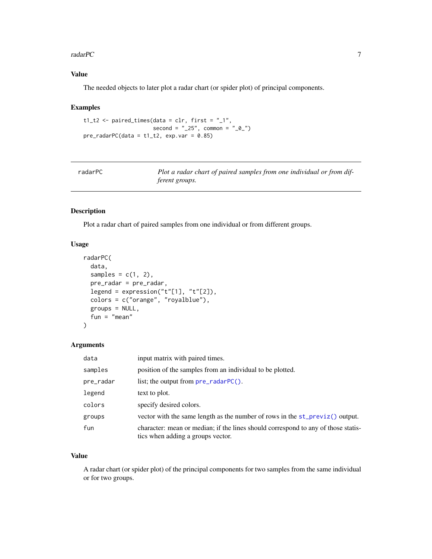#### <span id="page-6-0"></span>radarPC 7 7 7 7 7 7 7 7 8 7 7 7 7 8 7 7 8 7 7 8 7 7 8 7 8 7 7 8 7 8 7 8 7 8 7 8 7 7 8 7 8 7 8 7 8 7 8 7 8 7 8 7 8 7 8 7 8 7 8 7 8 7 8 7 8 7 8 7 8 7 8 7 8 7 8 7 8 7 8 7 8 7 8 7 8 7 8 7 8 7 8 7 8 7 8 7 8 7 8 7 8 7 8 7 8 7 8

#### Value

The needed objects to later plot a radar chart (or spider plot) of principal components.

#### Examples

```
t1_t2 \leftarrow paired_times(data = clr, first = "_1",
                      second = "25", common = "0,"pre\_radarPC(data = t1_t2, exp.var = 0.85)
```

| radarPC | Plot a radar chart of paired samples from one individual or from dif- |
|---------|-----------------------------------------------------------------------|
|         | <i>ferent groups.</i>                                                 |

#### Description

Plot a radar chart of paired samples from one individual or from different groups.

#### Usage

```
radarPC(
 data,
 samples = c(1, 2),
 pre_radar = pre_radar,
 legend = expression("t"[1], "t"[2]),colors = c("orange", "royalblue"),
 groups = NULL,
 fun = "mean")
```
#### Arguments

| data      | input matrix with paired times.                                                                                        |
|-----------|------------------------------------------------------------------------------------------------------------------------|
| samples   | position of the samples from an individual to be plotted.                                                              |
| pre_radar | list; the output from $pre\_radarPC()$ .                                                                               |
| legend    | text to plot.                                                                                                          |
| colors    | specify desired colors.                                                                                                |
| groups    | vector with the same length as the number of rows in the $st\_previz()$ output.                                        |
| fun       | character: mean or median; if the lines should correspond to any of those statis-<br>tics when adding a groups vector. |

#### Value

A radar chart (or spider plot) of the principal components for two samples from the same individual or for two groups.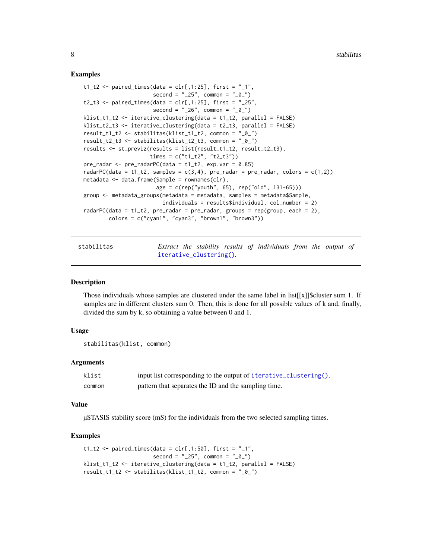#### Examples

```
t1_t2 <- paired_times(data = \text{clr}[,1:25], first = "_1",
                      second = "25", common = "0."t2_t3 <- paired_times(data = \text{clr}[,1:25], first = "_25",
                      second = "26", common = "0"klist_t1_t2 <- iterative_clustering(data = t1_t2, parallel = FALSE)
klist_t2_t3 <- iterative_clustering(data = t2_t3, parallel = FALSE)
result_t1_t2 <- stabilitas(klist_t1_t2, common = "_0_")
result_t2_t3 <- stabilitas(klist_t2_t3, common = "_0_")
results <- st_previz(results = list(result_t1_t2, result_t2_t3),
                     times = c("t1_t2", "t2_t3"))
pre\_radar < - pre\_radarPC(data = t1_t2, exp.var = 0.85)radarPC(data = t1_t2, samples = c(3,4), pre_radar = pre_radar, colors = c(1,2))
metadata <- data.frame(Sample = rownames(clr),
                       age = c(rep("youth", 65), rep("old", 131-65)))
group <- metadata_groups(metadata = metadata, samples = metadata$Sample,
                         individuals = results$individual, col_number = 2)
radarPC(data = t1_t2, pre_radar = pre_radar, groups = rep(group, each = 2),
        colors = c("cyan", "cyan", "brown", "brown", "brown"
```
<span id="page-7-1"></span>stabilitas *Extract the stability results of individuals from the output of* [iterative\\_clustering\(\)](#page-3-1)*.*

#### Description

Those individuals whose samples are clustered under the same label in list $[[x]]$ \$cluster sum 1. If samples are in different clusters sum 0. Then, this is done for all possible values of k and, finally, divided the sum by k, so obtaining a value between 0 and 1.

#### Usage

```
stabilitas(klist, common)
```
#### Arguments

| klist  | input list corresponding to the output of iterative_clustering(). |
|--------|-------------------------------------------------------------------|
| common | pattern that separates the ID and the sampling time.              |

#### Value

µSTASIS stability score (mS) for the individuals from the two selected sampling times.

```
t1_t2 <- paired_times(data = clr[,1:50], first = "_1",
                     second = "25", common = "0."klist_t1_t2 <- iterative_clustering(data = t1_t2, parallel = FALSE)
result_t1_t2 <- stabilitas(klist_t1_t2, common = "_0_")
```
<span id="page-7-0"></span>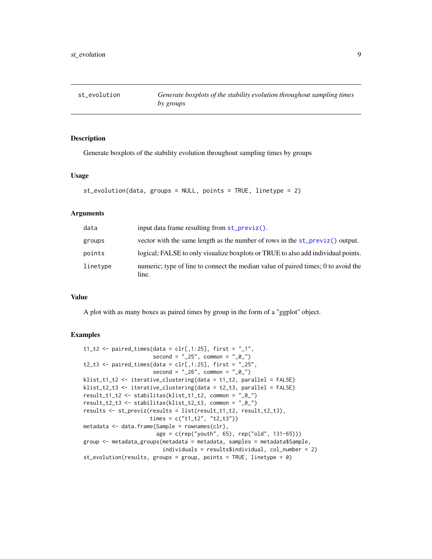<span id="page-8-0"></span>

Generate boxplots of the stability evolution throughout sampling times by groups

#### Usage

```
st_evolution(data, groups = NULL, points = TRUE, linetype = 2)
```
#### Arguments

| data     | input data frame resulting from st_previz().                                               |
|----------|--------------------------------------------------------------------------------------------|
| groups   | vector with the same length as the number of rows in the st_previz() output.               |
| points   | logical; FALSE to only visualize boxplots or TRUE to also add individual points.           |
| linetype | numeric; type of line to connect the median value of paired times; 0 to avoid the<br>line. |

#### Value

A plot with as many boxes as paired times by group in the form of a "ggplot" object.

```
t1_t2 <- paired_times(data = clr[,1:25], first = "_1",second = "25", common = "0."t2_t3 \leq paired_times(data = clr[,1:25], first = "_25",
                     second = "26", common = "0"klist_t1_t2 <- iterative_clustering(data = t1_t2, parallel = FALSE)
klist_t2_t3 <- iterative_clustering(data = t2_t3, parallel = FALSE)
result_t1_t2 <- stabilitas(klist_t1_t2, common = "_0_")
result_t2_t3 <- stabilitas(klist_t2_t3, common = "_0_")
results <- st_previz(results = list(result_t1_t2, result_t2_t3),
                     times = c("t1_t2", "t2_t3"))
metadata <- data.frame(Sample = rownames(clr),
                      age = c(rep("youth", 65), rep("old", 131-65)))
group <- metadata_groups(metadata = metadata, samples = metadata$Sample,
                        individuals = results$individual, col_number = 2)
st_evolution(results, groups = group, points = TRUE, linetype = 0)
```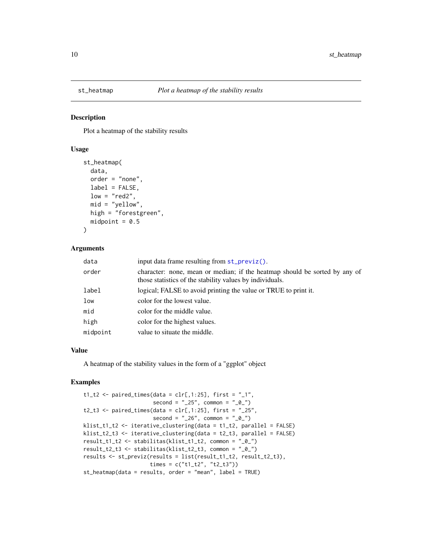<span id="page-9-0"></span>

Plot a heatmap of the stability results

#### Usage

```
st_heatmap(
  data,
  order = "none",
  label = FALSE,low = "red2",mid = "yellow",high = "forestgreen",
  midpoint = 0.5\lambda
```
#### Arguments

| data     | input data frame resulting from st_previz().                                                                                           |
|----------|----------------------------------------------------------------------------------------------------------------------------------------|
| order    | character: none, mean or median; if the heatmap should be sorted by any of<br>those statistics of the stability values by individuals. |
| label    | logical; FALSE to avoid printing the value or TRUE to print it.                                                                        |
| low      | color for the lowest value.                                                                                                            |
| mid      | color for the middle value.                                                                                                            |
| high     | color for the highest values.                                                                                                          |
| midpoint | value to situate the middle.                                                                                                           |

#### Value

A heatmap of the stability values in the form of a "ggplot" object

```
t1_t2 \leftarrow paired_times(data = clr[,1:25], first = "_1",
                      second = "25", common = "0"t2_t3 \leq paired_times(data = clr[,1:25], first = "_25",
                      second = "26", common = "0"klist_t1_t2 <- iterative_clustering(data = t1_t2, parallel = FALSE)
klist_t2_t3 <- iterative_clustering(data = t2_t3, parallel = FALSE)
result_t1_t2 <- stabilitas(klist_t1_t2, common = "_0_")
result_t2_t3 <- stabilitas(klist_t2_t3, common = "_0_")
results <- st_previz(results = list(result_t1_t2, result_t2_t3),
                     times = c("t1_t2", "t2_t3"))
st_heatmap(data = results, order = "mean", label = TRUE)
```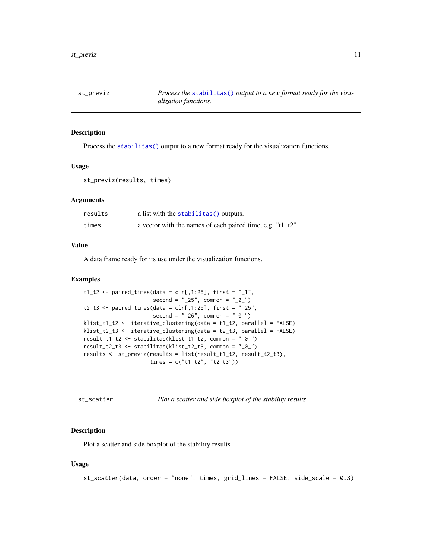<span id="page-10-1"></span><span id="page-10-0"></span>

Process the [stabilitas\(\)](#page-7-1) output to a new format ready for the visualization functions.

#### Usage

```
st_previz(results, times)
```
#### Arguments

| results | a list with the stabilitas () outputs.                         |
|---------|----------------------------------------------------------------|
| times   | a vector with the names of each paired time, e.g. " $t1_t2$ ". |

#### Value

A data frame ready for its use under the visualization functions.

#### Examples

```
t1_t2 \leq paired_times(data = clr[,1:25], first = "_1",
                      second = "25", common = "0,"t2_t3 \leq - paired_times(data = clr[,1:25], first = "_25",
                      second = "26", common = "0"klist_t1_t2 <- iterative_clustering(data = t1_t2, parallel = FALSE)
klist_t2_t3 <- iterative_clustering(data = t2_t3, parallel = FALSE)
result_t1_t2 <- stabilitas(klist_t1_t2, common = "_0_")
result_t2_t3 <- stabilitas(klist_t2_t3, common = "_0_")
results <- st_previz(results = list(result_t1_t2, result_t2_t3),
                     times = c("t1_t2", "t2_t3"))
```
st\_scatter *Plot a scatter and side boxplot of the stability results*

#### Description

Plot a scatter and side boxplot of the stability results

#### Usage

st\_scatter(data, order = "none", times, grid\_lines = FALSE, side\_scale = 0.3)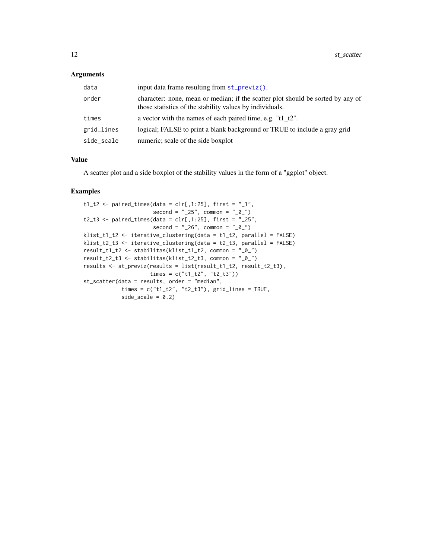#### <span id="page-11-0"></span>Arguments

| data       | input data frame resulting from $st\_previz()$ .                                                                                            |
|------------|---------------------------------------------------------------------------------------------------------------------------------------------|
| order      | character: none, mean or median; if the scatter plot should be sorted by any of<br>those statistics of the stability values by individuals. |
| times      | a vector with the names of each paired time, e.g. "t1 $t2$ ".                                                                               |
| grid_lines | logical; FALSE to print a blank background or TRUE to include a gray grid                                                                   |
| side_scale | numeric; scale of the side boxplot                                                                                                          |

#### Value

A scatter plot and a side boxplot of the stability values in the form of a "ggplot" object.

```
t1_t2 <- paired_times(data = clr[,1:25], first = "_1",second = "25", common = "0"t2_t3 \leq paired_times(data = clr[,1:25], first = "_25",
                     second = "26", common = "0"klist_t1_t2 <- iterative_clustering(data = t1_t2, parallel = FALSE)
klist_t2_t3 <- iterative_clustering(data = t2_t3, parallel = FALSE)
result_t1_t2 <- stabilitas(klist_t1_t2, common = "_0_")
result_t2_t3 <- stabilitas(klist_t2_t3, common = "_0_")
results <- st_previz(results = list(result_t1_t2, result_t2_t3),
                    times = c("t1_t2", "t2_t3"))st_scatter(data = results, order = "median",
           times = c("t1_t2", "t2_t3"), grid_lines = TRUE,
           side\_scale = 0.2)
```